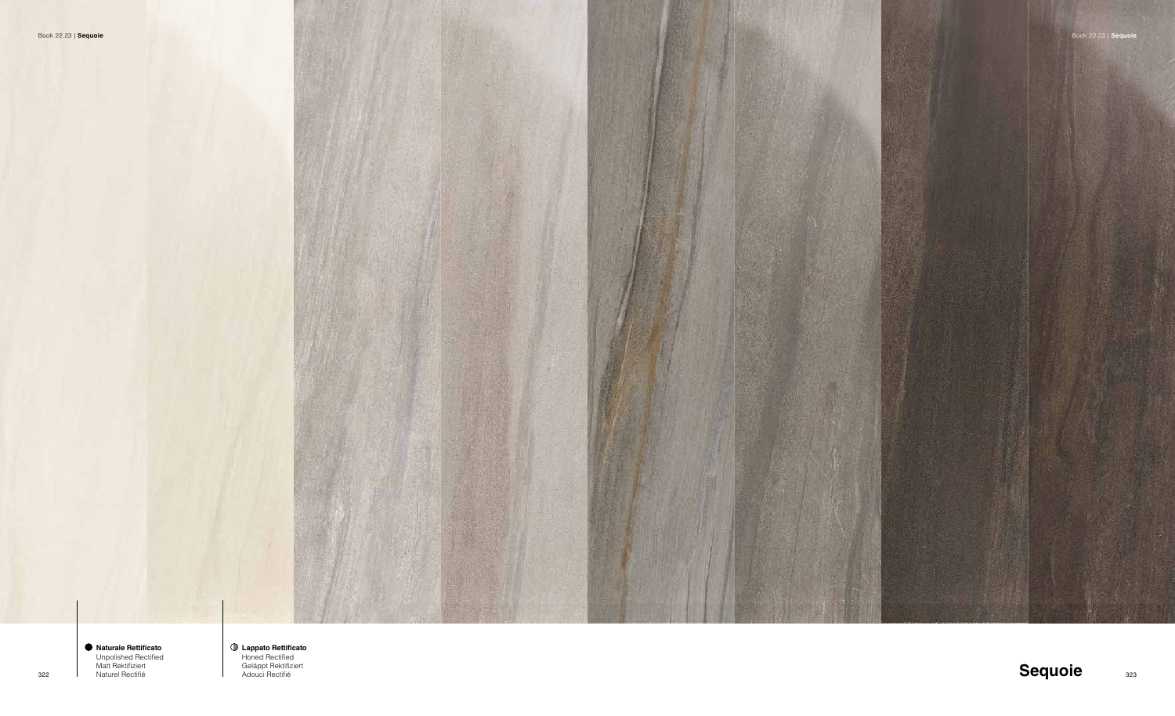



**Lappato Rettificato** Honed Rectified Geläppt Rektifiziert Adouci Rectifié

**Naturale Rettificato** Unpolished Rectified Matt Rektifiziert Naturel Rectifié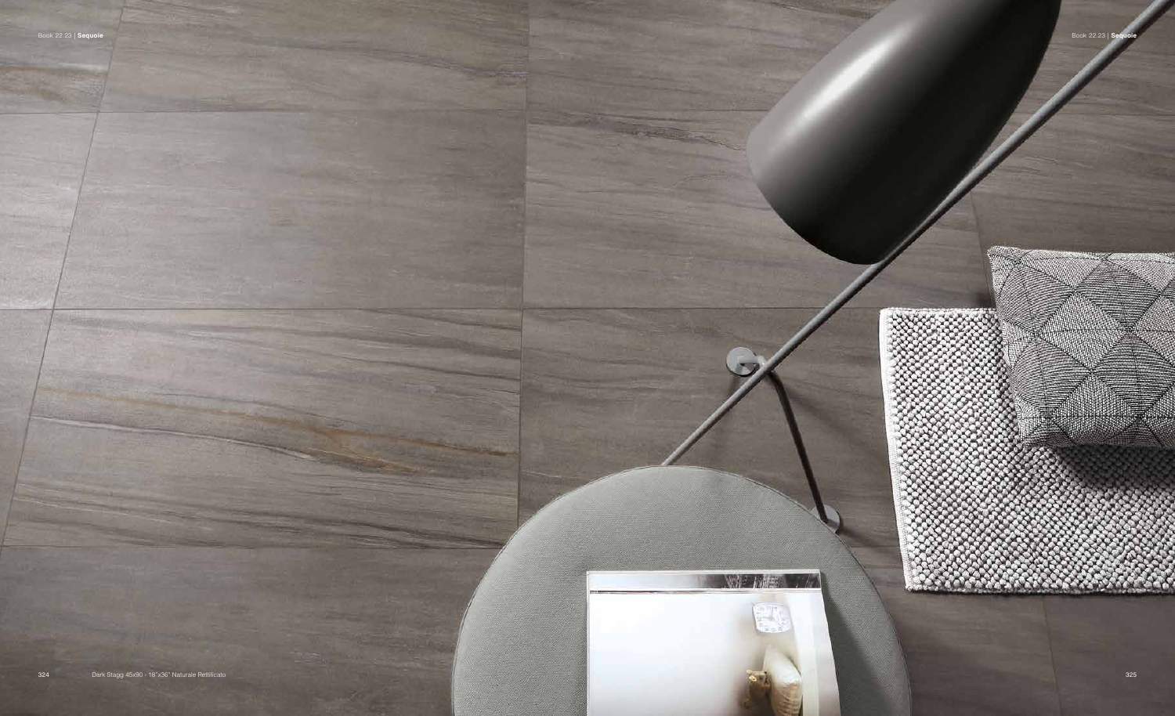



**NOP WAS**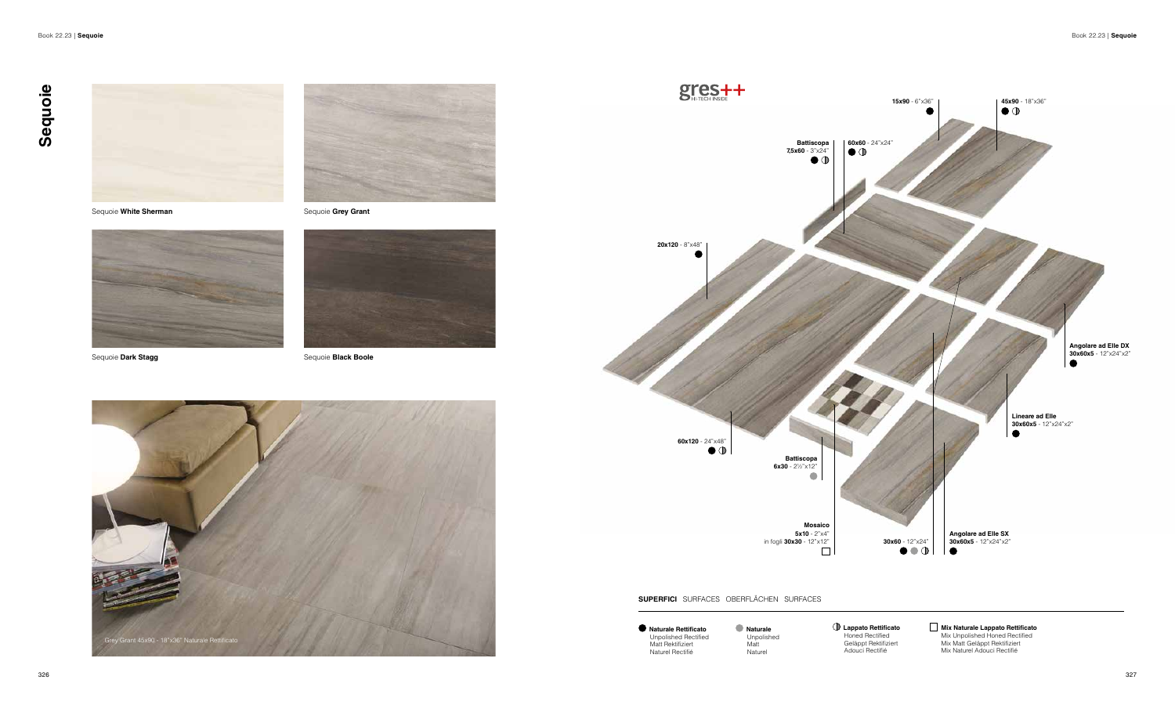



Sequoie **White Sherman Sequoie Grey Grant** 





Sequoie **Dark Stagg** Sequoie **Black Boole** 

**Naturale Rettificato** Unpolished Rectified Matt Rektifiziert Naturel Rectifié

**Naturale** Unpolished Matt Naturel

**Lappato Rettificato** Honed Rectified Geläppt Rektifiziert Adouci Rectifié



**Mix Naturale Lappato Rettificato** Mix Unpolished Honed Rectified Mix Matt Geläppt Rektifiziert Mix Naturel Adouci Rectifié